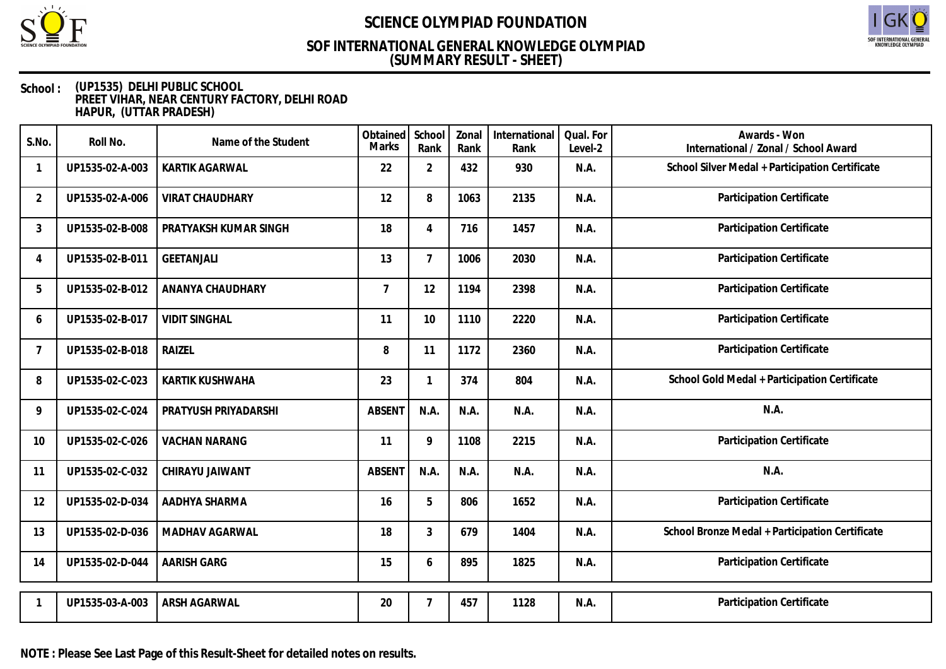

# SOF INTERNATIONAL GENERAL<br>KNOWLEDGE OLYMPIAD

## **(SUMMARY RESULT - SHEET) SOF INTERNATIONAL GENERAL KNOWLEDGE OLYMPIAD**

| S.No.          | Roll No.        | Name of the Student    | Obtained<br><b>Marks</b> | School<br>Rank | Zonal<br>Rank | International<br>Rank | Qual. For<br>Level-2 | Awards - Won<br>International / Zonal / School Award |
|----------------|-----------------|------------------------|--------------------------|----------------|---------------|-----------------------|----------------------|------------------------------------------------------|
|                | UP1535-02-A-003 | KARTIK AGARWAL         | 22                       | $\overline{2}$ | 432           | 930                   | N.A.                 | School Silver Medal + Participation Certificate      |
| 2              | UP1535-02-A-006 | <b>VIRAT CHAUDHARY</b> | 12                       | 8              | 1063          | 2135                  | N.A.                 | Participation Certificate                            |
| 3              | UP1535-02-B-008 | PRATYAKSH KUMAR SINGH  | 18                       | 4              | 716           | 1457                  | N.A.                 | Participation Certificate                            |
| 4              | UP1535-02-B-011 | <b>GEETANJALI</b>      | 13                       | $\overline{7}$ | 1006          | 2030                  | N.A.                 | Participation Certificate                            |
| 5              | UP1535-02-B-012 | ANANYA CHAUDHARY       | $\overline{7}$           | 12             | 1194          | 2398                  | N.A.                 | Participation Certificate                            |
| 6              | UP1535-02-B-017 | <b>VIDIT SINGHAL</b>   | 11                       | 10             | 1110          | 2220                  | N.A.                 | Participation Certificate                            |
| $\overline{7}$ | UP1535-02-B-018 | RAIZEL                 | 8                        | 11             | 1172          | 2360                  | N.A.                 | Participation Certificate                            |
| 8              | UP1535-02-C-023 | KARTIK KUSHWAHA        | 23                       | $\mathbf{1}$   | 374           | 804                   | N.A.                 | School Gold Medal + Participation Certificate        |
| 9              | UP1535-02-C-024 | PRATYUSH PRIYADARSHI   | <b>ABSENT</b>            | N.A.           | N.A.          | N.A.                  | N.A.                 | N.A.                                                 |
| 10             | UP1535-02-C-026 | <b>VACHAN NARANG</b>   | 11                       | 9              | 1108          | 2215                  | N.A.                 | Participation Certificate                            |
| 11             | UP1535-02-C-032 | CHIRAYU JAIWANT        | <b>ABSENT</b>            | N.A.           | N.A.          | N.A.                  | N.A.                 | N.A.                                                 |
| 12             | UP1535-02-D-034 | AADHYA SHARMA          | 16                       | 5              | 806           | 1652                  | N.A.                 | Participation Certificate                            |
| 13             | UP1535-02-D-036 | MADHAV AGARWAL         | 18                       | 3              | 679           | 1404                  | N.A.                 | School Bronze Medal + Participation Certificate      |
| 14             | UP1535-02-D-044 | <b>AARISH GARG</b>     | 15                       | 6              | 895           | 1825                  | N.A.                 | Participation Certificate                            |
|                | UP1535-03-A-003 | ARSH AGARWAL           | 20                       | 7              | 457           | 1128                  | N.A.                 | Participation Certificate                            |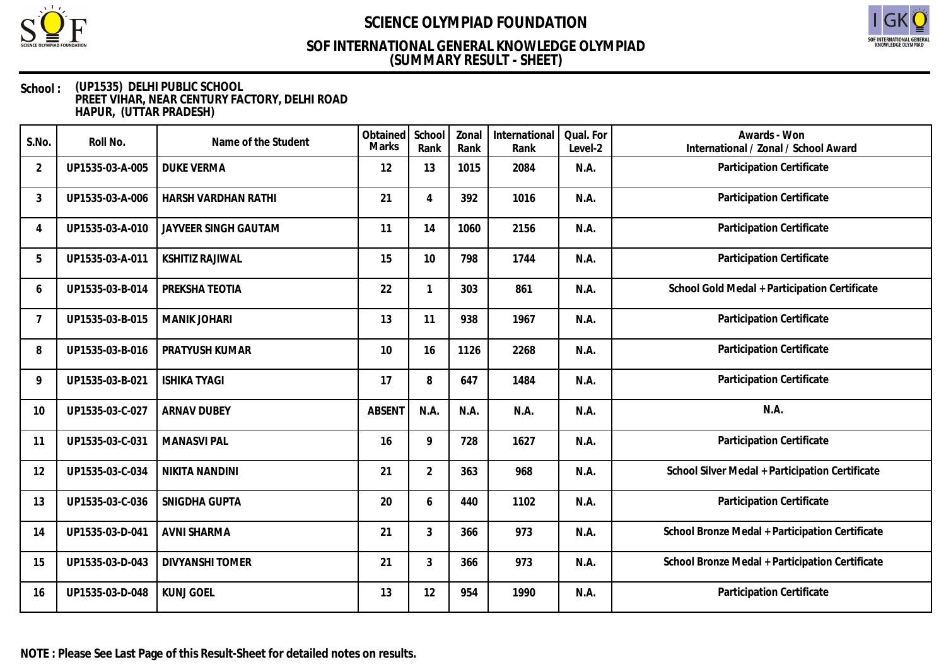

# SOF INTERNATIONAL GENERAL<br>KNOWLEDGE OLYMPIAD

### **(SUMMARY RESULT - SHEET) SOF INTERNATIONAL GENERAL KNOWLEDGE OLYMPIAD**

| S.No.          | Roll No.        | Name of the Student    | Obtained<br>Marks | School<br>Rank | Zonal<br>Rank | International<br>Rank | Qual. For<br>Level-2 | Awards - Won<br>International / Zonal / School Award |
|----------------|-----------------|------------------------|-------------------|----------------|---------------|-----------------------|----------------------|------------------------------------------------------|
| 2              | UP1535-03-A-005 | <b>DUKE VERMA</b>      | 12                | 13             | 1015          | 2084                  | N.A.                 | Participation Certificate                            |
| 3              | UP1535-03-A-006 | HARSH VARDHAN RATHI    | 21                | 4              | 392           | 1016                  | N.A.                 | Participation Certificate                            |
| 4              | UP1535-03-A-010 | JAYVEER SINGH GAUTAM   | 11                | 14             | 1060          | 2156                  | N.A.                 | Participation Certificate                            |
| 5              | UP1535-03-A-011 | <b>KSHITIZ RAJIWAL</b> | 15                | 10             | 798           | 1744                  | N.A.                 | Participation Certificate                            |
| 6              | UP1535-03-B-014 | PREKSHA TEOTIA         | 22                | 1              | 303           | 861                   | N.A.                 | School Gold Medal + Participation Certificate        |
| $\overline{7}$ | UP1535-03-B-015 | <b>MANIK JOHARI</b>    | 13                | 11             | 938           | 1967                  | N.A.                 | Participation Certificate                            |
| 8              | UP1535-03-B-016 | PRATYUSH KUMAR         | 10                | 16             | 1126          | 2268                  | N.A.                 | Participation Certificate                            |
| 9              | UP1535-03-B-021 | <b>ISHIKA TYAGI</b>    | 17                | 8              | 647           | 1484                  | N.A.                 | Participation Certificate                            |
| 10             | UP1535-03-C-027 | <b>ARNAV DUBEY</b>     | <b>ABSENT</b>     | N.A.           | N.A.          | N.A.                  | N.A.                 | N.A.                                                 |
| 11             | UP1535-03-C-031 | <b>MANASVI PAL</b>     | 16                | 9              | 728           | 1627                  | N.A.                 | Participation Certificate                            |
| 12             | UP1535-03-C-034 | <b>NIKITA NANDINI</b>  | 21                | $\overline{2}$ | 363           | 968                   | N.A.                 | School Silver Medal + Participation Certificate      |
| 13             | UP1535-03-C-036 | SNIGDHA GUPTA          | 20                | 6              | 440           | 1102                  | N.A.                 | Participation Certificate                            |
| 14             | UP1535-03-D-041 | <b>AVNI SHARMA</b>     | 21                | 3              | 366           | 973                   | N.A.                 | School Bronze Medal + Participation Certificate      |
| 15             | UP1535-03-D-043 | <b>DIVYANSHI TOMER</b> | 21                | 3              | 366           | 973                   | N.A.                 | School Bronze Medal + Participation Certificate      |
| 16             | UP1535-03-D-048 | <b>KUNJ GOEL</b>       | 13                | 12             | 954           | 1990                  | N.A.                 | Participation Certificate                            |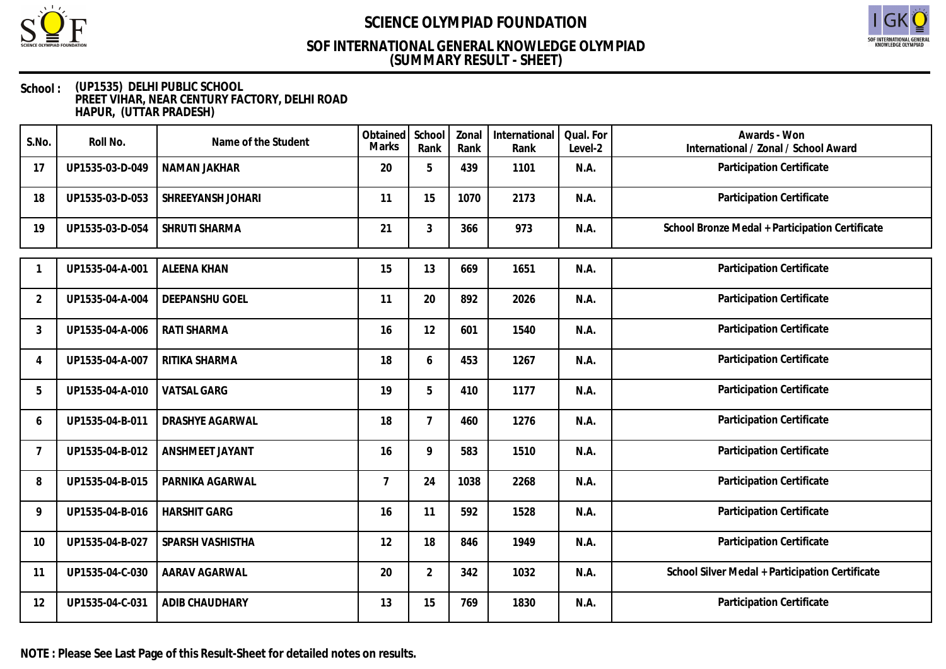



### **(SUMMARY RESULT - SHEET) SOF INTERNATIONAL GENERAL KNOWLEDGE OLYMPIAD**

| S.No.                     | Roll No.        | Name of the Student | Obtained<br><b>Marks</b> | School<br>Rank | Zonal<br>Rank | International<br>Rank | Qual. For<br>Level-2 | Awards - Won<br>International / Zonal / School Award |
|---------------------------|-----------------|---------------------|--------------------------|----------------|---------------|-----------------------|----------------------|------------------------------------------------------|
| 17                        | UP1535-03-D-049 | NAMAN JAKHAR        | 20                       | 5              | 439           | 1101                  | N.A.                 | Participation Certificate                            |
| 18                        | UP1535-03-D-053 | SHREEYANSH JOHARI   | 11                       | 15             | 1070          | 2173                  | N.A.                 | Participation Certificate                            |
| 19                        | UP1535-03-D-054 | SHRUTI SHARMA       | 21                       | 3              | 366           | 973                   | N.A.                 | School Bronze Medal + Participation Certificate      |
|                           | UP1535-04-A-001 | <b>ALEENA KHAN</b>  | 15                       | 13             | 669           | 1651                  | N.A.                 | Participation Certificate                            |
| $\overline{2}$            | UP1535-04-A-004 | DEEPANSHU GOEL      | 11                       | 20             | 892           | 2026                  | N.A.                 | Participation Certificate                            |
| 3                         | UP1535-04-A-006 | RATI SHARMA         | 16                       | 12             | 601           | 1540                  | N.A.                 | Participation Certificate                            |
| $\boldsymbol{\varLambda}$ | UP1535-04-A-007 | RITIKA SHARMA       | 18                       | 6              | 453           | 1267                  | N.A.                 | Participation Certificate                            |
| 5                         | UP1535-04-A-010 | <b>VATSAL GARG</b>  | 19                       | 5              | 410           | 1177                  | N.A.                 | Participation Certificate                            |
| 6                         | UP1535-04-B-011 | DRASHYE AGARWAL     | 18                       | $\overline{7}$ | 460           | 1276                  | N.A.                 | Participation Certificate                            |
| 7                         | UP1535-04-B-012 | ANSHMEET JAYANT     | 16                       | 9              | 583           | 1510                  | N.A.                 | Participation Certificate                            |
| 8                         | UP1535-04-B-015 | PARNIKA AGARWAL     | $\overline{7}$           | 24             | 1038          | 2268                  | N.A.                 | Participation Certificate                            |
| 9                         | UP1535-04-B-016 | <b>HARSHIT GARG</b> | 16                       | 11             | 592           | 1528                  | N.A.                 | Participation Certificate                            |
| 10                        | UP1535-04-B-027 | SPARSH VASHISTHA    | 12                       | 18             | 846           | 1949                  | N.A.                 | Participation Certificate                            |
| 11                        | UP1535-04-C-030 | AARAV AGARWAL       | 20                       | $\overline{2}$ | 342           | 1032                  | N.A.                 | School Silver Medal + Participation Certificate      |
| 12                        | UP1535-04-C-031 | ADIB CHAUDHARY      | 13                       | 15             | 769           | 1830                  | N.A.                 | Participation Certificate                            |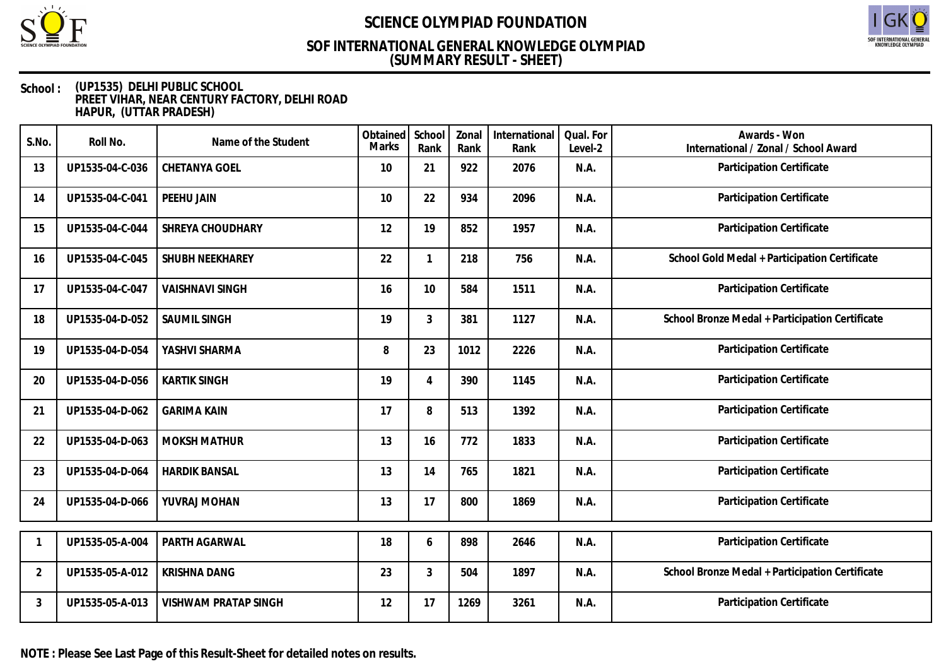

# SOF INTERNATIONAL GENERAL<br>KNOWLEDGE OLYMPIAD

### **(SUMMARY RESULT - SHEET) SOF INTERNATIONAL GENERAL KNOWLEDGE OLYMPIAD**

#### **School : (UP1535) DELHI PUBLIC SCHOOL PREET VIHAR, NEAR CENTURY FACTORY, DELHI ROAD HAPUR, (UTTAR PRADESH)**

| S.No.          | Roll No.        | Name of the Student         | Obtained<br><b>Marks</b> | School<br>Rank | Zonal<br>Rank | International<br>Rank | Qual. For<br>Level-2 | Awards - Won<br>International / Zonal / School Award |
|----------------|-----------------|-----------------------------|--------------------------|----------------|---------------|-----------------------|----------------------|------------------------------------------------------|
| 13             | UP1535-04-C-036 | CHETANYA GOEL               | 10                       | 21             | 922           | 2076                  | N.A.                 | Participation Certificate                            |
| 14             | UP1535-04-C-041 | PEEHU JAIN                  | 10                       | 22             | 934           | 2096                  | N.A.                 | Participation Certificate                            |
| 15             | UP1535-04-C-044 | SHREYA CHOUDHARY            | 12                       | 19             | 852           | 1957                  | N.A.                 | Participation Certificate                            |
| 16             | UP1535-04-C-045 | SHUBH NEEKHAREY             | 22                       | $\mathbf{1}$   | 218           | 756                   | N.A.                 | School Gold Medal + Participation Certificate        |
| 17             | UP1535-04-C-047 | <b>VAISHNAVI SINGH</b>      | 16                       | 10             | 584           | 1511                  | N.A.                 | Participation Certificate                            |
| 18             | UP1535-04-D-052 | <b>SAUMIL SINGH</b>         | 19                       | 3              | 381           | 1127                  | N.A.                 | School Bronze Medal + Participation Certificate      |
| 19             | UP1535-04-D-054 | YASHVI SHARMA               | 8                        | 23             | 1012          | 2226                  | N.A.                 | Participation Certificate                            |
| 20             | UP1535-04-D-056 | <b>KARTIK SINGH</b>         | 19                       | $\overline{4}$ | 390           | 1145                  | N.A.                 | Participation Certificate                            |
| 21             | UP1535-04-D-062 | <b>GARIMA KAIN</b>          | 17                       | 8              | 513           | 1392                  | N.A.                 | Participation Certificate                            |
| 22             | UP1535-04-D-063 | <b>MOKSH MATHUR</b>         | 13                       | 16             | 772           | 1833                  | N.A.                 | Participation Certificate                            |
| 23             | UP1535-04-D-064 | <b>HARDIK BANSAL</b>        | 13                       | 14             | 765           | 1821                  | N.A.                 | Participation Certificate                            |
| 24             | UP1535-04-D-066 | YUVRAJ MOHAN                | 13                       | 17             | 800           | 1869                  | N.A.                 | Participation Certificate                            |
| -1             | UP1535-05-A-004 | PARTH AGARWAL               | 18                       | 6              | 898           | 2646                  | N.A.                 | Participation Certificate                            |
| $\overline{2}$ | UP1535-05-A-012 | <b>KRISHNA DANG</b>         | 23                       | 3              | 504           | 1897                  | N.A.                 | School Bronze Medal + Participation Certificate      |
| 3              | UP1535-05-A-013 | <b>VISHWAM PRATAP SINGH</b> | 12                       | 17             | 1269          | 3261                  | N.A.                 | Participation Certificate                            |

**NOTE : Please See Last Page of this Result-Sheet for detailed notes on results.**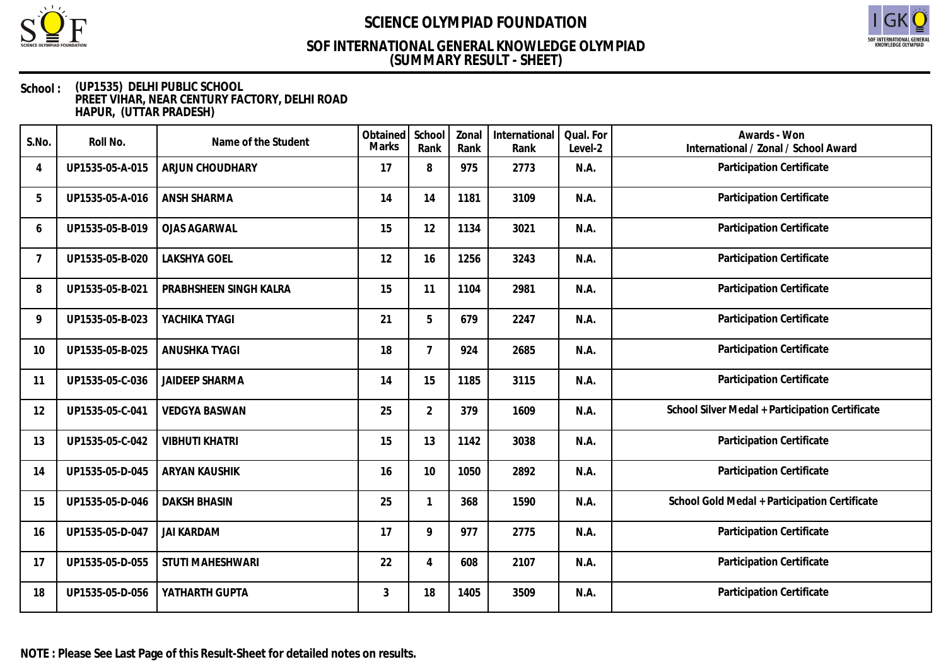

# SOF INTERNATIONAL GENERAL<br>KNOWLEDGE OLYMPIAD

### **(SUMMARY RESULT - SHEET) SOF INTERNATIONAL GENERAL KNOWLEDGE OLYMPIAD**

| S.No.          | Roll No.        | Name of the Student     | Obtained<br><b>Marks</b> | School<br>Rank | Zonal<br>Rank | International<br>Rank | Qual. For<br>Level-2 | Awards - Won<br>International / Zonal / School Award |
|----------------|-----------------|-------------------------|--------------------------|----------------|---------------|-----------------------|----------------------|------------------------------------------------------|
| 4              | UP1535-05-A-015 | ARJUN CHOUDHARY         | 17                       | 8              | 975           | 2773                  | N.A.                 | Participation Certificate                            |
| 5              | UP1535-05-A-016 | ANSH SHARMA             | 14                       | 14             | 1181          | 3109                  | N.A.                 | Participation Certificate                            |
| 6              | UP1535-05-B-019 | <b>OJAS AGARWAL</b>     | 15                       | 12             | 1134          | 3021                  | N.A.                 | <b>Participation Certificate</b>                     |
| $\overline{7}$ | UP1535-05-B-020 | <b>LAKSHYA GOEL</b>     | 12                       | 16             | 1256          | 3243                  | N.A.                 | Participation Certificate                            |
| 8              | UP1535-05-B-021 | PRABHSHEEN SINGH KALRA  | 15                       | 11             | 1104          | 2981                  | N.A.                 | Participation Certificate                            |
| 9              | UP1535-05-B-023 | YACHIKA TYAGI           | 21                       | 5              | 679           | 2247                  | N.A.                 | Participation Certificate                            |
| 10             | UP1535-05-B-025 | ANUSHKA TYAGI           | 18                       | $\overline{7}$ | 924           | 2685                  | N.A.                 | Participation Certificate                            |
| 11             | UP1535-05-C-036 | <b>JAIDEEP SHARMA</b>   | 14                       | 15             | 1185          | 3115                  | N.A.                 | Participation Certificate                            |
| 12             | UP1535-05-C-041 | <b>VEDGYA BASWAN</b>    | 25                       | $\overline{2}$ | 379           | 1609                  | N.A.                 | School Silver Medal + Participation Certificate      |
| 13             | UP1535-05-C-042 | <b>VIBHUTI KHATRI</b>   | 15                       | 13             | 1142          | 3038                  | N.A.                 | Participation Certificate                            |
| 14             | UP1535-05-D-045 | ARYAN KAUSHIK           | 16                       | 10             | 1050          | 2892                  | N.A.                 | Participation Certificate                            |
| 15             | UP1535-05-D-046 | <b>DAKSH BHASIN</b>     | 25                       | 1              | 368           | 1590                  | N.A.                 | School Gold Medal + Participation Certificate        |
| 16             | UP1535-05-D-047 | <b>JAI KARDAM</b>       | 17                       | 9              | 977           | 2775                  | N.A.                 | Participation Certificate                            |
| 17             | UP1535-05-D-055 | <b>STUTI MAHESHWARI</b> | 22                       | $\overline{4}$ | 608           | 2107                  | N.A.                 | Participation Certificate                            |
| 18             | UP1535-05-D-056 | YATHARTH GUPTA          | 3                        | 18             | 1405          | 3509                  | N.A.                 | Participation Certificate                            |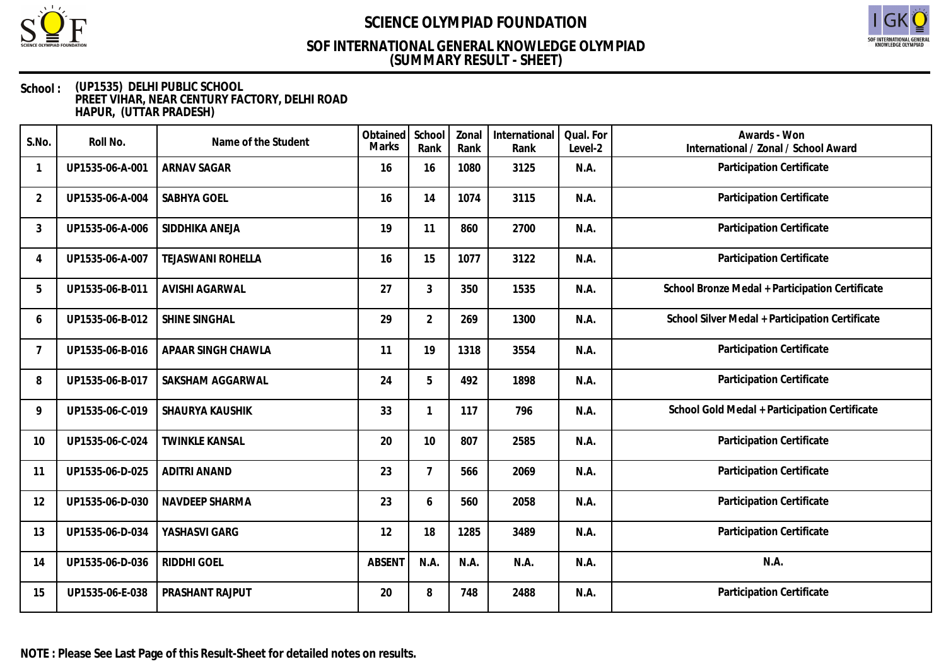

# SOF INTERNATIONAL GENERAL<br>KNOWLEDGE OLYMPIAD

## **(SUMMARY RESULT - SHEET) SOF INTERNATIONAL GENERAL KNOWLEDGE OLYMPIAD**

| S.No.          | Roll No.        | Name of the Student      | Obtained<br><b>Marks</b> | School<br>Rank | Zonal<br>Rank | International<br>Rank | Qual. For<br>Level-2 | Awards - Won<br>International / Zonal / School Award |
|----------------|-----------------|--------------------------|--------------------------|----------------|---------------|-----------------------|----------------------|------------------------------------------------------|
|                | UP1535-06-A-001 | <b>ARNAV SAGAR</b>       | 16                       | 16             | 1080          | 3125                  | N.A.                 | Participation Certificate                            |
| $\overline{2}$ | UP1535-06-A-004 | SABHYA GOEL              | 16                       | 14             | 1074          | 3115                  | N.A.                 | Participation Certificate                            |
| 3              | UP1535-06-A-006 | SIDDHIKA ANEJA           | 19                       | 11             | 860           | 2700                  | N.A.                 | Participation Certificate                            |
| 4              | UP1535-06-A-007 | <b>TEJASWANI ROHELLA</b> | 16                       | 15             | 1077          | 3122                  | N.A.                 | Participation Certificate                            |
| 5              | UP1535-06-B-011 | <b>AVISHI AGARWAL</b>    | 27                       | 3              | 350           | 1535                  | N.A.                 | School Bronze Medal + Participation Certificate      |
| 6              | UP1535-06-B-012 | SHINE SINGHAL            | 29                       | $\overline{2}$ | 269           | 1300                  | N.A.                 | School Silver Medal + Participation Certificate      |
| 7              | UP1535-06-B-016 | APAAR SINGH CHAWLA       | 11                       | 19             | 1318          | 3554                  | N.A.                 | Participation Certificate                            |
| 8              | UP1535-06-B-017 | SAKSHAM AGGARWAL         | 24                       | 5              | 492           | 1898                  | N.A.                 | <b>Participation Certificate</b>                     |
| 9              | UP1535-06-C-019 | SHAURYA KAUSHIK          | 33                       | 1              | 117           | 796                   | N.A.                 | School Gold Medal + Participation Certificate        |
| 10             | UP1535-06-C-024 | <b>TWINKLE KANSAL</b>    | 20                       | 10             | 807           | 2585                  | N.A.                 | Participation Certificate                            |
| 11             | UP1535-06-D-025 | <b>ADITRI ANAND</b>      | 23                       | $\overline{7}$ | 566           | 2069                  | N.A.                 | Participation Certificate                            |
| 12             | UP1535-06-D-030 | NAVDEEP SHARMA           | 23                       | 6              | 560           | 2058                  | N.A.                 | Participation Certificate                            |
| 13             | UP1535-06-D-034 | YASHASVI GARG            | 12                       | 18             | 1285          | 3489                  | N.A.                 | Participation Certificate                            |
| 14             | UP1535-06-D-036 | RIDDHI GOEL              | <b>ABSENT</b>            | N.A.           | N.A.          | N.A.                  | N.A.                 | N.A.                                                 |
| 15             | UP1535-06-E-038 | PRASHANT RAJPUT          | 20                       | 8              | 748           | 2488                  | N.A.                 | Participation Certificate                            |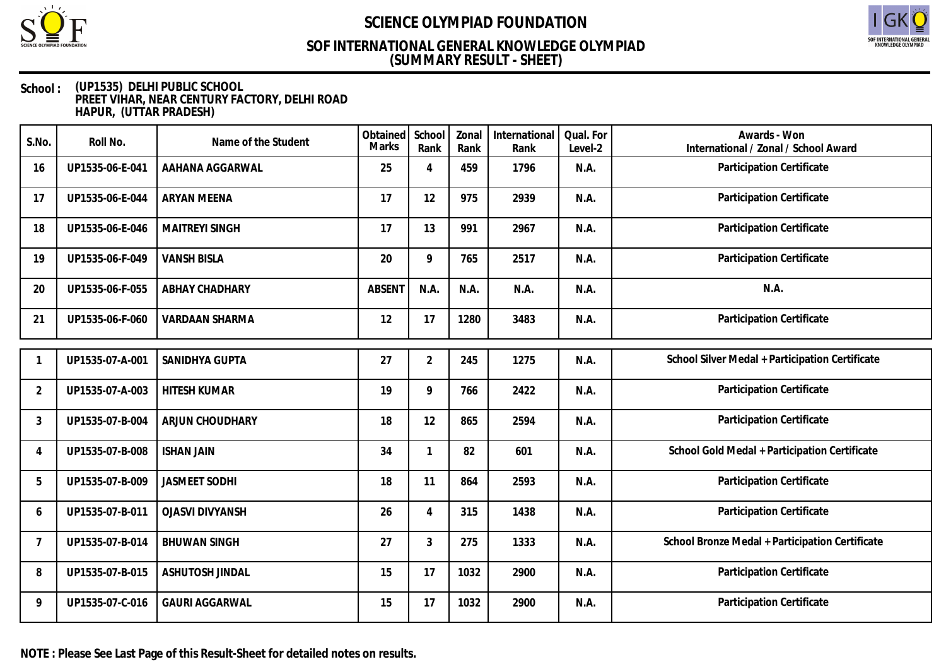

# SOF INTERNATIONAL GENERAL<br>KNOWLEDGE OLYMPIAD

### **(SUMMARY RESULT - SHEET) SOF INTERNATIONAL GENERAL KNOWLEDGE OLYMPIAD**

| S.No.          | Roll No.        | Name of the Student    | Obtained<br><b>Marks</b> | School<br>Rank | Zonal<br>Rank | International<br>Rank | Qual. For<br>Level-2 | Awards - Won<br>International / Zonal / School Award |
|----------------|-----------------|------------------------|--------------------------|----------------|---------------|-----------------------|----------------------|------------------------------------------------------|
| 16             | UP1535-06-E-041 | AAHANA AGGARWAL        | 25                       | 4              | 459           | 1796                  | N.A.                 | Participation Certificate                            |
| 17             | UP1535-06-E-044 | <b>ARYAN MEENA</b>     | 17                       | 12             | 975           | 2939                  | N.A.                 | Participation Certificate                            |
| 18             | UP1535-06-E-046 | <b>MAITREYI SINGH</b>  | 17                       | 13             | 991           | 2967                  | N.A.                 | Participation Certificate                            |
| 19             | UP1535-06-F-049 | <b>VANSH BISLA</b>     | 20                       | 9              | 765           | 2517                  | N.A.                 | Participation Certificate                            |
| 20             | UP1535-06-F-055 | ABHAY CHADHARY         | <b>ABSENT</b>            | N.A.           | N.A.          | N.A.                  | N.A.                 | N.A.                                                 |
| 21             | UP1535-06-F-060 | <b>VARDAAN SHARMA</b>  | 12                       | 17             | 1280          | 3483                  | N.A.                 | Participation Certificate                            |
|                |                 |                        |                          |                |               |                       |                      |                                                      |
|                | UP1535-07-A-001 | SANIDHYA GUPTA         | 27                       | $\overline{2}$ | 245           | 1275                  | N.A.                 | School Silver Medal + Participation Certificate      |
| $\overline{2}$ | UP1535-07-A-003 | <b>HITESH KUMAR</b>    | 19                       | 9              | 766           | 2422                  | N.A.                 | Participation Certificate                            |
| 3              | UP1535-07-B-004 | ARJUN CHOUDHARY        | 18                       | 12             | 865           | 2594                  | N.A.                 | Participation Certificate                            |
| 4              | UP1535-07-B-008 | <b>ISHAN JAIN</b>      | 34                       | $\mathbf{1}$   | 82            | 601                   | N.A.                 | School Gold Medal + Participation Certificate        |
| 5              | UP1535-07-B-009 | <b>JASMEET SODHI</b>   | 18                       | 11             | 864           | 2593                  | N.A.                 | Participation Certificate                            |
| 6              | UP1535-07-B-011 | <b>OJASVI DIVYANSH</b> | 26                       | 4              | 315           | 1438                  | N.A.                 | Participation Certificate                            |
| 7              | UP1535-07-B-014 | <b>BHUWAN SINGH</b>    | 27                       | 3              | 275           | 1333                  | N.A.                 | School Bronze Medal + Participation Certificate      |
| 8              | UP1535-07-B-015 | ASHUTOSH JINDAL        | 15                       | 17             | 1032          | 2900                  | N.A.                 | Participation Certificate                            |
| 9              | UP1535-07-C-016 | <b>GAURI AGGARWAL</b>  | 15                       | 17             | 1032          | 2900                  | N.A.                 | Participation Certificate                            |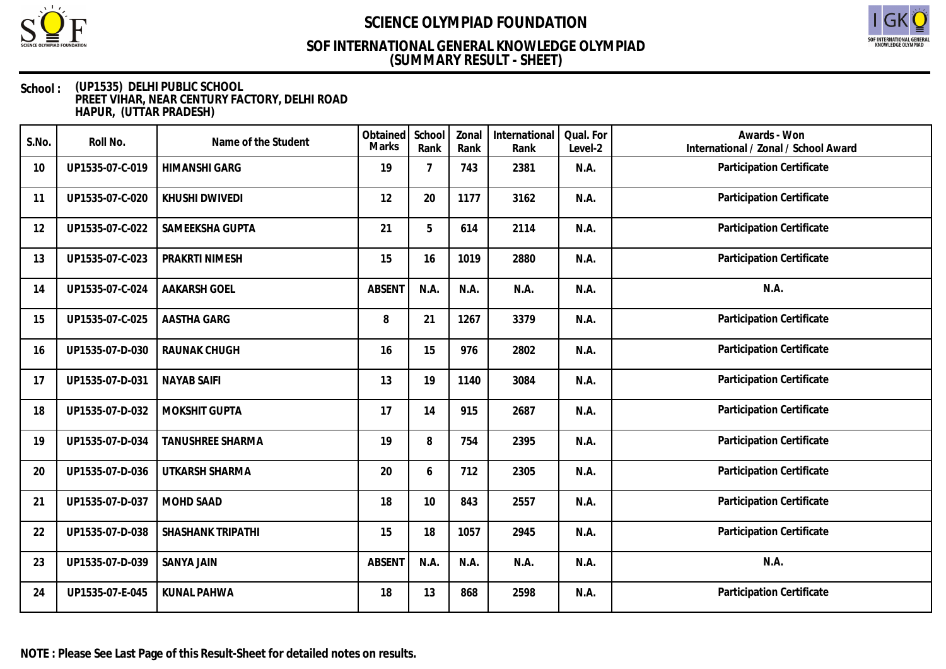

# SOF INTERNATIONAL GENERAL<br>KNOWLEDGE OLYMPIAD

## **(SUMMARY RESULT - SHEET) SOF INTERNATIONAL GENERAL KNOWLEDGE OLYMPIAD**

| S.No. | Roll No.        | Name of the Student      | Obtained<br><b>Marks</b> | School<br>Rank | Zonal<br>Rank | International<br>Rank | Qual. For<br>Level-2 | Awards - Won<br>International / Zonal / School Award |
|-------|-----------------|--------------------------|--------------------------|----------------|---------------|-----------------------|----------------------|------------------------------------------------------|
| 10    | UP1535-07-C-019 | <b>HIMANSHI GARG</b>     | 19                       | $\overline{7}$ | 743           | 2381                  | N.A.                 | Participation Certificate                            |
| 11    | UP1535-07-C-020 | KHUSHI DWIVEDI           | 12                       | 20             | 1177          | 3162                  | N.A.                 | Participation Certificate                            |
| 12    | UP1535-07-C-022 | SAMEEKSHA GUPTA          | 21                       | 5              | 614           | 2114                  | N.A.                 | Participation Certificate                            |
| 13    | UP1535-07-C-023 | PRAKRTI NIMESH           | 15                       | 16             | 1019          | 2880                  | N.A.                 | Participation Certificate                            |
| 14    | UP1535-07-C-024 | <b>AAKARSH GOEL</b>      | <b>ABSENT</b>            | N.A.           | N.A.          | N.A.                  | N.A.                 | N.A.                                                 |
| 15    | UP1535-07-C-025 | AASTHA GARG              | 8                        | 21             | 1267          | 3379                  | N.A.                 | Participation Certificate                            |
| 16    | UP1535-07-D-030 | RAUNAK CHUGH             | 16                       | 15             | 976           | 2802                  | N.A.                 | Participation Certificate                            |
| 17    | UP1535-07-D-031 | <b>NAYAB SAIFI</b>       | 13                       | 19             | 1140          | 3084                  | N.A.                 | Participation Certificate                            |
| 18    | UP1535-07-D-032 | MOKSHIT GUPTA            | 17                       | 14             | 915           | 2687                  | N.A.                 | Participation Certificate                            |
| 19    | UP1535-07-D-034 | <b>TANUSHREE SHARMA</b>  | 19                       | 8              | 754           | 2395                  | N.A.                 | Participation Certificate                            |
| 20    | UP1535-07-D-036 | UTKARSH SHARMA           | 20                       | 6              | 712           | 2305                  | N.A.                 | Participation Certificate                            |
| 21    | UP1535-07-D-037 | MOHD SAAD                | 18                       | 10             | 843           | 2557                  | N.A.                 | Participation Certificate                            |
| 22    | UP1535-07-D-038 | <b>SHASHANK TRIPATHI</b> | 15                       | 18             | 1057          | 2945                  | N.A.                 | Participation Certificate                            |
| 23    | UP1535-07-D-039 | <b>SANYA JAIN</b>        | <b>ABSENT</b>            | N.A.           | N.A.          | N.A.                  | N.A.                 | N.A.                                                 |
| 24    | UP1535-07-E-045 | <b>KUNAL PAHWA</b>       | 18                       | 13             | 868           | 2598                  | N.A.                 | Participation Certificate                            |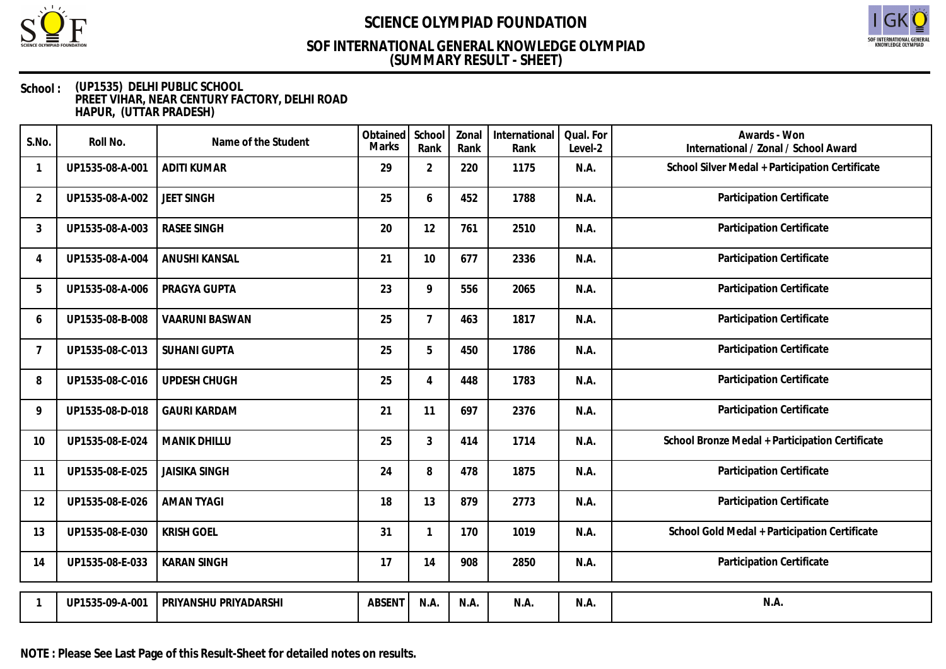

# SOF INTERNATIONAL GENERAL<br>KNOWLEDGE OLYMPIAD

## **(SUMMARY RESULT - SHEET) SOF INTERNATIONAL GENERAL KNOWLEDGE OLYMPIAD**

| S.No.          | Roll No.        | Name of the Student   | Obtained<br>Marks | School<br>Rank | Zonal<br>Rank | International<br>Rank | Qual. For<br>Level-2 | Awards - Won<br>International / Zonal / School Award |
|----------------|-----------------|-----------------------|-------------------|----------------|---------------|-----------------------|----------------------|------------------------------------------------------|
|                | UP1535-08-A-001 | <b>ADITI KUMAR</b>    | 29                | $\overline{2}$ | 220           | 1175                  | N.A.                 | School Silver Medal + Participation Certificate      |
| $\overline{2}$ | UP1535-08-A-002 | <b>JEET SINGH</b>     | 25                | 6              | 452           | 1788                  | N.A.                 | Participation Certificate                            |
| 3              | UP1535-08-A-003 | <b>RASEE SINGH</b>    | 20                | 12             | 761           | 2510                  | N.A.                 | Participation Certificate                            |
| 4              | UP1535-08-A-004 | <b>ANUSHI KANSAL</b>  | 21                | 10             | 677           | 2336                  | N.A.                 | Participation Certificate                            |
| 5              | UP1535-08-A-006 | PRAGYA GUPTA          | 23                | 9              | 556           | 2065                  | N.A.                 | Participation Certificate                            |
| 6              | UP1535-08-B-008 | <b>VAARUNI BASWAN</b> | 25                | $\overline{7}$ | 463           | 1817                  | N.A.                 | Participation Certificate                            |
| $\overline{7}$ | UP1535-08-C-013 | <b>SUHANI GUPTA</b>   | 25                | 5              | 450           | 1786                  | N.A.                 | Participation Certificate                            |
| 8              | UP1535-08-C-016 | UPDESH CHUGH          | 25                | 4              | 448           | 1783                  | N.A.                 | Participation Certificate                            |
| 9              | UP1535-08-D-018 | <b>GAURI KARDAM</b>   | 21                | 11             | 697           | 2376                  | N.A.                 | Participation Certificate                            |
| 10             | UP1535-08-E-024 | <b>MANIK DHILLU</b>   | 25                | 3              | 414           | 1714                  | N.A.                 | School Bronze Medal + Participation Certificate      |
| 11             | UP1535-08-E-025 | <b>JAISIKA SINGH</b>  | 24                | 8              | 478           | 1875                  | N.A.                 | Participation Certificate                            |
| 12             | UP1535-08-E-026 | <b>AMAN TYAGI</b>     | 18                | 13             | 879           | 2773                  | N.A.                 | Participation Certificate                            |
| 13             | UP1535-08-E-030 | <b>KRISH GOEL</b>     | 31                | $\mathbf{1}$   | 170           | 1019                  | N.A.                 | School Gold Medal + Participation Certificate        |
| 14             | UP1535-08-E-033 | <b>KARAN SINGH</b>    | 17                | 14             | 908           | 2850                  | N.A.                 | Participation Certificate                            |
|                | UP1535-09-A-001 | PRIYANSHU PRIYADARSHI | <b>ABSENT</b>     | N.A.           | N.A.          | N.A.                  | N.A.                 | N.A.                                                 |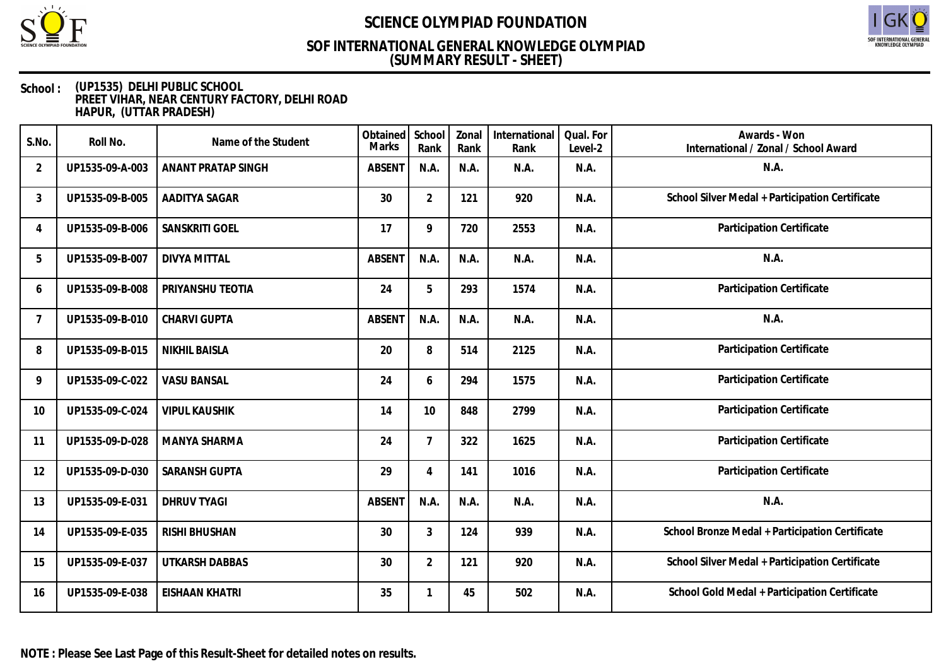

# SOF INTERNATIONAL GENERAL<br>KNOWLEDGE OLYMPIAD

## **(SUMMARY RESULT - SHEET) SOF INTERNATIONAL GENERAL KNOWLEDGE OLYMPIAD**

| S.No.          | Roll No.        | Name of the Student       | Obtained<br>Marks | School<br>Rank | Zonal<br>Rank | International<br>Rank | Qual. For<br>Level-2 | Awards - Won<br>International / Zonal / School Award |
|----------------|-----------------|---------------------------|-------------------|----------------|---------------|-----------------------|----------------------|------------------------------------------------------|
| $\overline{2}$ | UP1535-09-A-003 | <b>ANANT PRATAP SINGH</b> | <b>ABSENT</b>     | N.A.           | N.A.          | N.A.                  | N.A.                 | N.A.                                                 |
| 3              | UP1535-09-B-005 | AADITYA SAGAR             | 30                | $\overline{2}$ | 121           | 920                   | N.A.                 | School Silver Medal + Participation Certificate      |
| 4              | UP1535-09-B-006 | SANSKRITI GOEL            | 17                | 9              | 720           | 2553                  | N.A.                 | Participation Certificate                            |
| 5              | UP1535-09-B-007 | <b>DIVYA MITTAL</b>       | <b>ABSENT</b>     | N.A.           | N.A.          | N.A.                  | N.A.                 | N.A.                                                 |
| 6              | UP1535-09-B-008 | PRIYANSHU TEOTIA          | 24                | 5              | 293           | 1574                  | N.A.                 | Participation Certificate                            |
| $\overline{7}$ | UP1535-09-B-010 | CHARVI GUPTA              | <b>ABSENT</b>     | N.A.           | N.A.          | N.A.                  | N.A.                 | N.A.                                                 |
| 8              | UP1535-09-B-015 | <b>NIKHIL BAISLA</b>      | 20                | 8              | 514           | 2125                  | N.A.                 | Participation Certificate                            |
| 9              | UP1535-09-C-022 | <b>VASU BANSAL</b>        | 24                | 6              | 294           | 1575                  | N.A.                 | Participation Certificate                            |
| 10             | UP1535-09-C-024 | <b>VIPUL KAUSHIK</b>      | 14                | 10             | 848           | 2799                  | N.A.                 | Participation Certificate                            |
| 11             | UP1535-09-D-028 | MANYA SHARMA              | 24                | 7              | 322           | 1625                  | N.A.                 | Participation Certificate                            |
| 12             | UP1535-09-D-030 | <b>SARANSH GUPTA</b>      | 29                | 4              | 141           | 1016                  | N.A.                 | Participation Certificate                            |
| 13             | UP1535-09-E-031 | <b>DHRUV TYAGI</b>        | <b>ABSENT</b>     | N.A.           | N.A.          | N.A.                  | N.A.                 | N.A.                                                 |
| 14             | UP1535-09-E-035 | <b>RISHI BHUSHAN</b>      | 30                | 3              | 124           | 939                   | N.A.                 | School Bronze Medal + Participation Certificate      |
| 15             | UP1535-09-E-037 | <b>UTKARSH DABBAS</b>     | 30                | $\overline{2}$ | 121           | 920                   | N.A.                 | School Silver Medal + Participation Certificate      |
| 16             | UP1535-09-E-038 | <b>EISHAAN KHATRI</b>     | 35                |                | 45            | 502                   | N.A.                 | School Gold Medal + Participation Certificate        |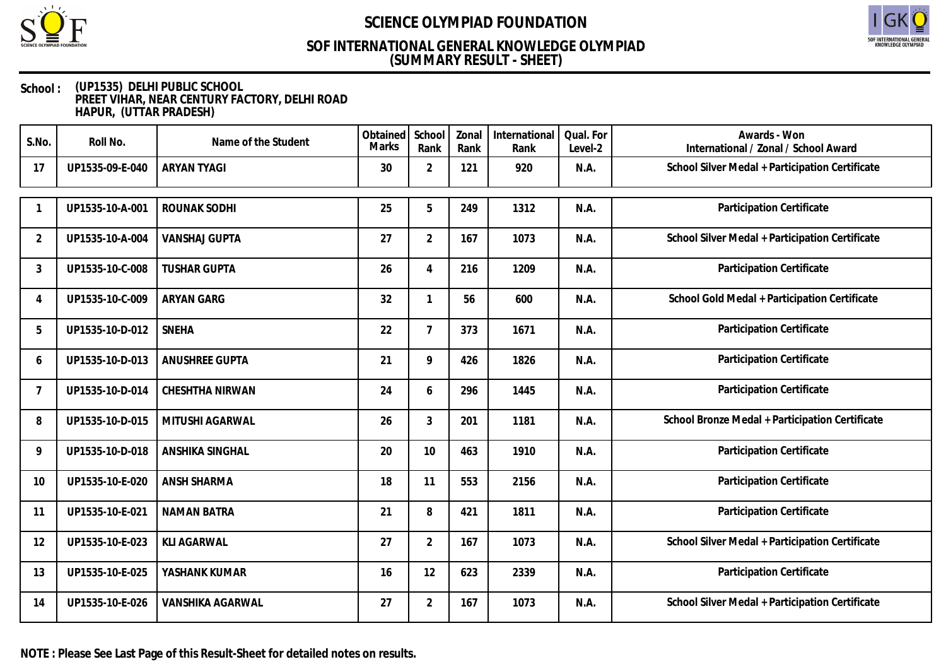

# SOF INTERNATIONAL GENERAL<br>KNOWLEDGE OLYMPIAD

## **(SUMMARY RESULT - SHEET) SOF INTERNATIONAL GENERAL KNOWLEDGE OLYMPIAD**

| S.No.          | Roll No.        | Name of the Student     | Obtained<br><b>Marks</b> | School<br>Rank | Zonal<br>Rank | International<br>Rank | Qual. For<br>Level-2 | Awards - Won<br>International / Zonal / School Award |
|----------------|-----------------|-------------------------|--------------------------|----------------|---------------|-----------------------|----------------------|------------------------------------------------------|
| 17             | UP1535-09-E-040 | <b>ARYAN TYAGI</b>      | 30                       | $\overline{2}$ | 121           | 920                   | N.A.                 | School Silver Medal + Participation Certificate      |
|                | UP1535-10-A-001 | ROUNAK SODHI            | 25                       | 5              | 249           | 1312                  | N.A.                 | Participation Certificate                            |
| $\overline{2}$ | UP1535-10-A-004 | <b>VANSHAJ GUPTA</b>    | 27                       | $\overline{2}$ | 167           | 1073                  | N.A.                 | School Silver Medal + Participation Certificate      |
| 3              | UP1535-10-C-008 | <b>TUSHAR GUPTA</b>     | 26                       | 4              | 216           | 1209                  | N.A.                 | Participation Certificate                            |
| 4              | UP1535-10-C-009 | ARYAN GARG              | 32                       | 1              | 56            | 600                   | N.A.                 | School Gold Medal + Participation Certificate        |
| 5              | UP1535-10-D-012 | <b>SNEHA</b>            | 22                       | $\overline{7}$ | 373           | 1671                  | N.A.                 | Participation Certificate                            |
| 6              | UP1535-10-D-013 | ANUSHREE GUPTA          | 21                       | 9              | 426           | 1826                  | N.A.                 | Participation Certificate                            |
| $\overline{7}$ | UP1535-10-D-014 | CHESHTHA NIRWAN         | 24                       | 6              | 296           | 1445                  | N.A.                 | Participation Certificate                            |
| 8              | UP1535-10-D-015 | MITUSHI AGARWAL         | 26                       | 3              | 201           | 1181                  | N.A.                 | School Bronze Medal + Participation Certificate      |
| 9              | UP1535-10-D-018 | ANSHIKA SINGHAL         | 20                       | 10             | 463           | 1910                  | N.A.                 | Participation Certificate                            |
| 10             | UP1535-10-E-020 | ANSH SHARMA             | 18                       | 11             | 553           | 2156                  | N.A.                 | Participation Certificate                            |
| 11             | UP1535-10-E-021 | <b>NAMAN BATRA</b>      | 21                       | 8              | 421           | 1811                  | N.A.                 | Participation Certificate                            |
| 12             | UP1535-10-E-023 | <b>KLI AGARWAL</b>      | 27                       | $\overline{2}$ | 167           | 1073                  | N.A.                 | School Silver Medal + Participation Certificate      |
| 13             | UP1535-10-E-025 | YASHANK KUMAR           | 16                       | 12             | 623           | 2339                  | N.A.                 | Participation Certificate                            |
| 14             | UP1535-10-E-026 | <b>VANSHIKA AGARWAL</b> | 27                       | $\overline{2}$ | 167           | 1073                  | N.A.                 | School Silver Medal + Participation Certificate      |